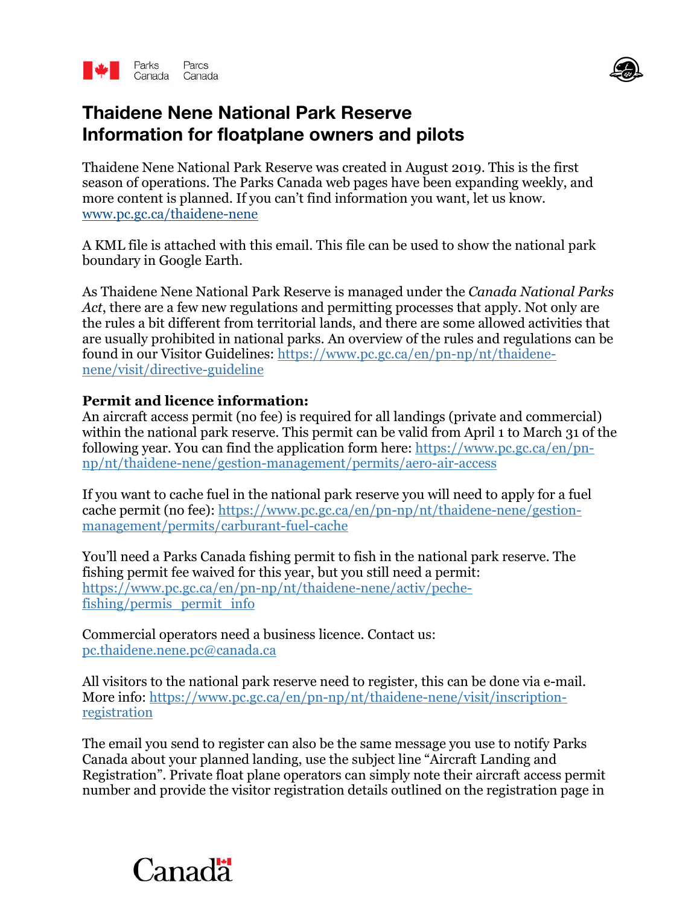



## **Thaidene Nene National Park Reserve Information for floatplane owners and pilots**

Thaidene Nene National Park Reserve was created in August 2019. This is the first season of operations. The Parks Canada web pages have been expanding weekly, and more content is planned. If you can't find information you want, let us know. www.pc.gc.ca/thaidene-nene

A KML file is attached with this email. This file can be used to show the national park boundary in Google Earth.

As Thaidene Nene National Park Reserve is managed under the *Canada National Parks Act*, there are a few new regulations and permitting processes that apply. Not only are the rules a bit different from territorial lands, and there are some allowed activities that are usually prohibited in national parks. An overview of the rules and regulations can be found in our Visitor Guidelines: https://www.pc.gc.ca/en/pn-np/nt/thaidenenene/visit/directive-guideline

## **Permit and licence information:**

An aircraft access permit (no fee) is required for all landings (private and commercial) within the national park reserve. This permit can be valid from April 1 to March 31 of the following year. You can find the application form here: https://www.pc.gc.ca/en/pnnp/nt/thaidene-nene/gestion-management/permits/aero-air-access

If you want to cache fuel in the national park reserve you will need to apply for a fuel cache permit (no fee): https://www.pc.gc.ca/en/pn-np/nt/thaidene-nene/gestionmanagement/permits/carburant-fuel-cache

You'll need a Parks Canada fishing permit to fish in the national park reserve. The fishing permit fee waived for this year, but you still need a permit: https://www.pc.gc.ca/en/pn-np/nt/thaidene-nene/activ/pechefishing/permis\_permit\_info

Commercial operators need a business licence. Contact us: pc.thaidene.nene.pc@canada.ca

All visitors to the national park reserve need to register, this can be done via e-mail. More info: https://www.pc.gc.ca/en/pn-np/nt/thaidene-nene/visit/inscriptionregistration

The email you send to register can also be the same message you use to notify Parks Canada about your planned landing, use the subject line "Aircraft Landing and Registration". Private float plane operators can simply note their aircraft access permit number and provide the visitor registration details outlined on the registration page in